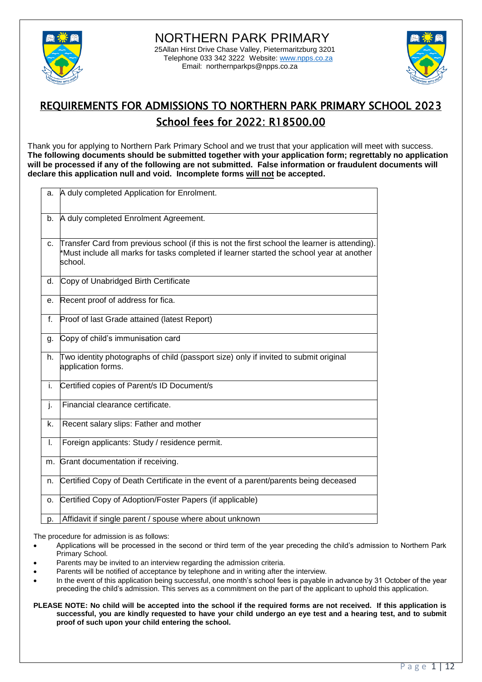



# REQUIREMENTS FOR ADMISSIONS TO NORTHERN PARK PRIMARY SCHOOL 2023 School fees for 2022: R18500.00

Thank you for applying to Northern Park Primary School and we trust that your application will meet with success. **The following documents should be submitted together with your application form; regrettably no application will be processed if any of the following are not submitted. False information or fraudulent documents will declare this application null and void. Incomplete forms will not be accepted.**

| a. | A duly completed Application for Enrolment.                                                                                                                                                            |
|----|--------------------------------------------------------------------------------------------------------------------------------------------------------------------------------------------------------|
| b. | A duly completed Enrolment Agreement.                                                                                                                                                                  |
| C. | Transfer Card from previous school (if this is not the first school the learner is attending).<br>*Must include all marks for tasks completed if learner started the school year at another<br>school. |
| d. | Copy of Unabridged Birth Certificate                                                                                                                                                                   |
| е. | Recent proof of address for fica.                                                                                                                                                                      |
| f. | Proof of last Grade attained (latest Report)                                                                                                                                                           |
| g. | Copy of child's immunisation card                                                                                                                                                                      |
| h. | Two identity photographs of child (passport size) only if invited to submit original<br>application forms.                                                                                             |
| i. | Certified copies of Parent/s ID Document/s                                                                                                                                                             |
| j. | Financial clearance certificate.                                                                                                                                                                       |
| k. | Recent salary slips: Father and mother                                                                                                                                                                 |
| I. | Foreign applicants: Study / residence permit.                                                                                                                                                          |
| m. | Grant documentation if receiving.                                                                                                                                                                      |
| n. | Certified Copy of Death Certificate in the event of a parent/parents being deceased                                                                                                                    |
| 0. | Certified Copy of Adoption/Foster Papers (if applicable)                                                                                                                                               |
| p. | Affidavit if single parent / spouse where about unknown                                                                                                                                                |

The procedure for admission is as follows:

- Applications will be processed in the second or third term of the year preceding the child's admission to Northern Park Primary School.
- Parents may be invited to an interview regarding the admission criteria.
- Parents will be notified of acceptance by telephone and in writing after the interview.
- In the event of this application being successful, one month's school fees is payable in advance by 31 October of the year preceding the child's admission. This serves as a commitment on the part of the applicant to uphold this application.
- **PLEASE NOTE: No child will be accepted into the school if the required forms are not received. If this application is successful, you are kindly requested to have your child undergo an eye test and a hearing test, and to submit proof of such upon your child entering the school.**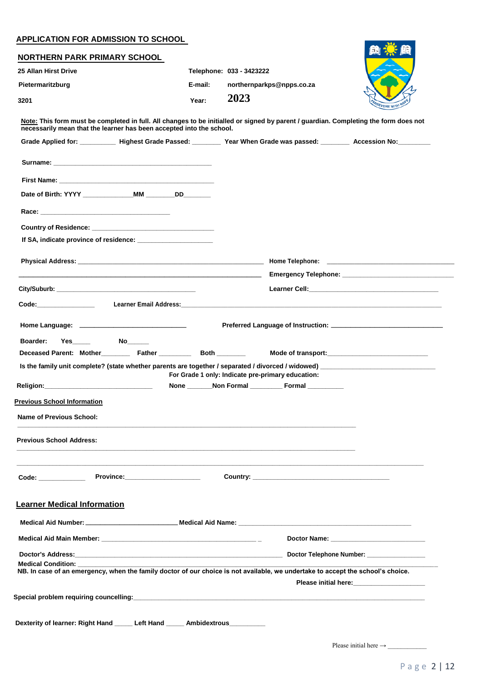#### **APPLICATION FOR ADMISSION TO SCHOOL**

| <b>NORTHERN PARK PRIMARY SCHOOL</b>                                                                                                                                                                                            |                                                                                                                        |                                                                                                                                                                                                                                |                                                                                                                       |
|--------------------------------------------------------------------------------------------------------------------------------------------------------------------------------------------------------------------------------|------------------------------------------------------------------------------------------------------------------------|--------------------------------------------------------------------------------------------------------------------------------------------------------------------------------------------------------------------------------|-----------------------------------------------------------------------------------------------------------------------|
| 25 Allan Hirst Drive                                                                                                                                                                                                           |                                                                                                                        | Telephone: 033 - 3423222                                                                                                                                                                                                       |                                                                                                                       |
| Pietermaritzburg                                                                                                                                                                                                               | E-mail:                                                                                                                | northernparkps@npps.co.za                                                                                                                                                                                                      |                                                                                                                       |
| 3201                                                                                                                                                                                                                           | Year:                                                                                                                  | 2023                                                                                                                                                                                                                           | EVERE WITH                                                                                                            |
|                                                                                                                                                                                                                                |                                                                                                                        | Note: This form must be completed in full. All changes to be initialled or signed by parent / guardian. Completing the form does not                                                                                           |                                                                                                                       |
|                                                                                                                                                                                                                                | necessarily mean that the learner has been accepted into the school.                                                   |                                                                                                                                                                                                                                |                                                                                                                       |
|                                                                                                                                                                                                                                |                                                                                                                        | Grade Applied for: ___________ Highest Grade Passed: ________ Year When Grade was passed: ________ Accession No: ________                                                                                                      |                                                                                                                       |
|                                                                                                                                                                                                                                |                                                                                                                        |                                                                                                                                                                                                                                |                                                                                                                       |
|                                                                                                                                                                                                                                |                                                                                                                        |                                                                                                                                                                                                                                |                                                                                                                       |
|                                                                                                                                                                                                                                |                                                                                                                        |                                                                                                                                                                                                                                |                                                                                                                       |
| Race: the contract of the contract of the contract of the contract of the contract of the contract of the contract of the contract of the contract of the contract of the contract of the contract of the contract of the cont |                                                                                                                        |                                                                                                                                                                                                                                |                                                                                                                       |
|                                                                                                                                                                                                                                | Country of Residence: <u>contract and contract and contract and contract and contract and contract and contract of</u> |                                                                                                                                                                                                                                |                                                                                                                       |
|                                                                                                                                                                                                                                | If SA, indicate province of residence:                                                                                 |                                                                                                                                                                                                                                |                                                                                                                       |
|                                                                                                                                                                                                                                |                                                                                                                        | Physical Address: No. 2006. The Contract of the Contract of the Contract of the Contract of the Contract of the Contract of the Contract of the Contract of the Contract of the Contract of the Contract of the Contract of th |                                                                                                                       |
|                                                                                                                                                                                                                                |                                                                                                                        |                                                                                                                                                                                                                                |                                                                                                                       |
|                                                                                                                                                                                                                                |                                                                                                                        |                                                                                                                                                                                                                                | Learner Cell: <b>Example 2014</b>                                                                                     |
|                                                                                                                                                                                                                                |                                                                                                                        |                                                                                                                                                                                                                                |                                                                                                                       |
|                                                                                                                                                                                                                                |                                                                                                                        |                                                                                                                                                                                                                                |                                                                                                                       |
| <u>Religion:                     </u>                                                                                                                                                                                          | Deceased Parent: Mother_____________ Father _______________ Both __________                                            | For Grade 1 only: Indicate pre-primary education:<br>None Non Formal Formal                                                                                                                                                    |                                                                                                                       |
| <b>Previous School Information</b>                                                                                                                                                                                             |                                                                                                                        |                                                                                                                                                                                                                                |                                                                                                                       |
| <b>Name of Previous School:</b>                                                                                                                                                                                                |                                                                                                                        |                                                                                                                                                                                                                                |                                                                                                                       |
|                                                                                                                                                                                                                                |                                                                                                                        |                                                                                                                                                                                                                                |                                                                                                                       |
| <b>Previous School Address:</b>                                                                                                                                                                                                |                                                                                                                        | <u> 1989 - Jan James James James James James James James James James James James James James James James James J</u>                                                                                                           |                                                                                                                       |
|                                                                                                                                                                                                                                |                                                                                                                        |                                                                                                                                                                                                                                |                                                                                                                       |
|                                                                                                                                                                                                                                |                                                                                                                        |                                                                                                                                                                                                                                |                                                                                                                       |
|                                                                                                                                                                                                                                |                                                                                                                        |                                                                                                                                                                                                                                |                                                                                                                       |
| <b>Learner Medical Information</b>                                                                                                                                                                                             |                                                                                                                        |                                                                                                                                                                                                                                |                                                                                                                       |
|                                                                                                                                                                                                                                |                                                                                                                        |                                                                                                                                                                                                                                |                                                                                                                       |
|                                                                                                                                                                                                                                |                                                                                                                        |                                                                                                                                                                                                                                |                                                                                                                       |
|                                                                                                                                                                                                                                |                                                                                                                        |                                                                                                                                                                                                                                |                                                                                                                       |
| <b>Medical Condition:</b>                                                                                                                                                                                                      |                                                                                                                        | NB. In case of an emergency, when the family doctor of our choice is not available, we undertake to accept the school's choice.                                                                                                |                                                                                                                       |
|                                                                                                                                                                                                                                |                                                                                                                        |                                                                                                                                                                                                                                |                                                                                                                       |
|                                                                                                                                                                                                                                |                                                                                                                        |                                                                                                                                                                                                                                | Please initial here: <b>Manual Accord Please initial here:</b> Manual Manual Accord Please in the Please of Please in |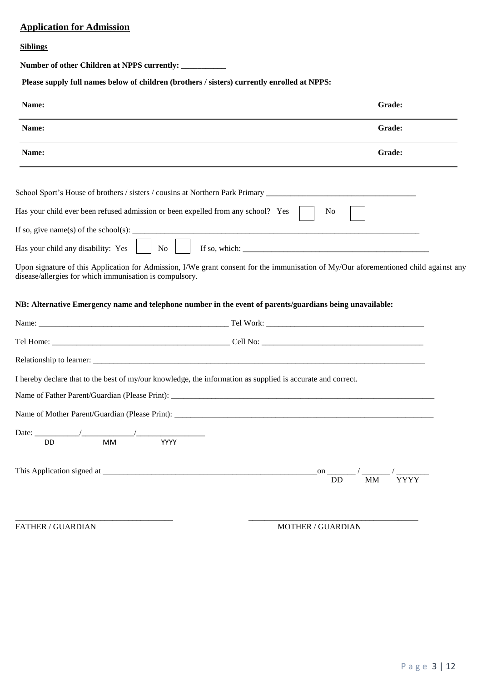## **Application for Admission**

#### **Siblings**

**Number of other Children at NPPS currently: \_\_\_\_\_\_\_\_\_\_\_**

**Please supply full names below of children (brothers / sisters) currently enrolled at NPPS:**

| Name:                                                                            |                                                                                                                                      | Grade:                         |
|----------------------------------------------------------------------------------|--------------------------------------------------------------------------------------------------------------------------------------|--------------------------------|
| Name:                                                                            |                                                                                                                                      | Grade:                         |
| Name:                                                                            |                                                                                                                                      | Grade:                         |
|                                                                                  |                                                                                                                                      |                                |
| Has your child ever been refused admission or been expelled from any school? Yes |                                                                                                                                      | N <sub>0</sub>                 |
|                                                                                  |                                                                                                                                      |                                |
| Has your child any disability: Yes<br>$\vert$ No                                 |                                                                                                                                      |                                |
| disease/allergies for which immunisation is compulsory.                          | Upon signature of this Application for Admission, I/We grant consent for the immunisation of My/Our aforementioned child against any |                                |
|                                                                                  | NB: Alternative Emergency name and telephone number in the event of parents/guardians being unavailable:                             |                                |
|                                                                                  |                                                                                                                                      |                                |
|                                                                                  |                                                                                                                                      |                                |
|                                                                                  |                                                                                                                                      |                                |
|                                                                                  | I hereby declare that to the best of my/our knowledge, the information as supplied is accurate and correct.                          |                                |
|                                                                                  |                                                                                                                                      |                                |
|                                                                                  |                                                                                                                                      |                                |
| Date: $\overline{\phantom{a}}$                                                   |                                                                                                                                      |                                |
| MM<br><b>DD</b>                                                                  | YYYY                                                                                                                                 |                                |
|                                                                                  |                                                                                                                                      | <b>YYYY</b><br>DD<br><b>MM</b> |
|                                                                                  |                                                                                                                                      |                                |
|                                                                                  |                                                                                                                                      |                                |

FATHER / GUARDIAN MOTHER / GUARDIAN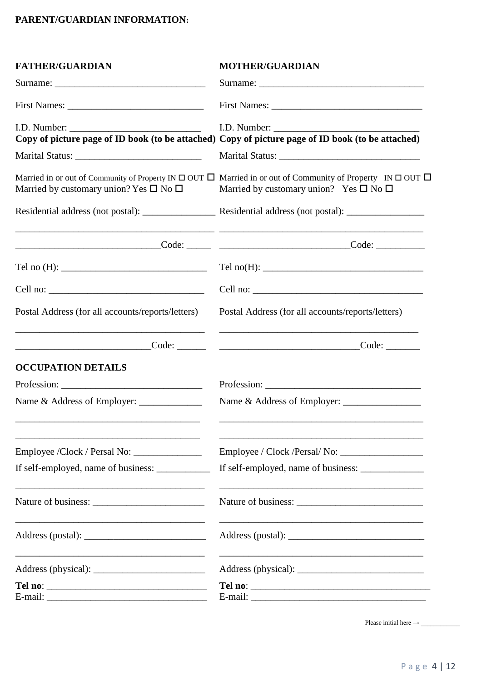## **PARENT/GUARDIAN INFORMATION:**

| <b>FATHER/GUARDIAN</b>                                                                                                                                                                                                                                                                                                                                                                                      | <b>MOTHER/GUARDIAN</b>                                                                                                                                                                                |
|-------------------------------------------------------------------------------------------------------------------------------------------------------------------------------------------------------------------------------------------------------------------------------------------------------------------------------------------------------------------------------------------------------------|-------------------------------------------------------------------------------------------------------------------------------------------------------------------------------------------------------|
|                                                                                                                                                                                                                                                                                                                                                                                                             |                                                                                                                                                                                                       |
| First Names:                                                                                                                                                                                                                                                                                                                                                                                                |                                                                                                                                                                                                       |
|                                                                                                                                                                                                                                                                                                                                                                                                             | Copy of picture page of ID book (to be attached) Copy of picture page of ID book (to be attached)                                                                                                     |
|                                                                                                                                                                                                                                                                                                                                                                                                             |                                                                                                                                                                                                       |
| Married by customary union? Yes $\square$ No $\square$                                                                                                                                                                                                                                                                                                                                                      | Married in or out of Community of Property IN $\square$ OUT $\square$ Married in or out of Community of Property IN $\square$ OUT $\square$<br>Married by customary union? Yes $\square$ No $\square$ |
|                                                                                                                                                                                                                                                                                                                                                                                                             |                                                                                                                                                                                                       |
|                                                                                                                                                                                                                                                                                                                                                                                                             |                                                                                                                                                                                                       |
|                                                                                                                                                                                                                                                                                                                                                                                                             |                                                                                                                                                                                                       |
| Cell no: $\frac{1}{\sqrt{1-\frac{1}{2}}\sqrt{1-\frac{1}{2}}\sqrt{1-\frac{1}{2}}\sqrt{1-\frac{1}{2}}\sqrt{1-\frac{1}{2}}\sqrt{1-\frac{1}{2}}\sqrt{1-\frac{1}{2}}\sqrt{1-\frac{1}{2}}\sqrt{1-\frac{1}{2}}\sqrt{1-\frac{1}{2}}\sqrt{1-\frac{1}{2}}\sqrt{1-\frac{1}{2}}\sqrt{1-\frac{1}{2}}\sqrt{1-\frac{1}{2}}\sqrt{1-\frac{1}{2}}\sqrt{1-\frac{1}{2}}\sqrt{1-\frac{1}{2}}\sqrt{1-\frac{1}{2}}\sqrt{1-\frac{1$ | Cell no:                                                                                                                                                                                              |
| Postal Address (for all accounts/reports/letters)                                                                                                                                                                                                                                                                                                                                                           | Postal Address (for all accounts/reports/letters)                                                                                                                                                     |
|                                                                                                                                                                                                                                                                                                                                                                                                             | Code:                                                                                                                                                                                                 |
| <b>OCCUPATION DETAILS</b>                                                                                                                                                                                                                                                                                                                                                                                   |                                                                                                                                                                                                       |
|                                                                                                                                                                                                                                                                                                                                                                                                             |                                                                                                                                                                                                       |
|                                                                                                                                                                                                                                                                                                                                                                                                             |                                                                                                                                                                                                       |
|                                                                                                                                                                                                                                                                                                                                                                                                             |                                                                                                                                                                                                       |
|                                                                                                                                                                                                                                                                                                                                                                                                             | If self-employed, name of business: _____________                                                                                                                                                     |
|                                                                                                                                                                                                                                                                                                                                                                                                             |                                                                                                                                                                                                       |
|                                                                                                                                                                                                                                                                                                                                                                                                             |                                                                                                                                                                                                       |
|                                                                                                                                                                                                                                                                                                                                                                                                             |                                                                                                                                                                                                       |
|                                                                                                                                                                                                                                                                                                                                                                                                             | Tel no:                                                                                                                                                                                               |
|                                                                                                                                                                                                                                                                                                                                                                                                             |                                                                                                                                                                                                       |

Please initial here → \_\_\_\_\_\_\_\_\_\_\_\_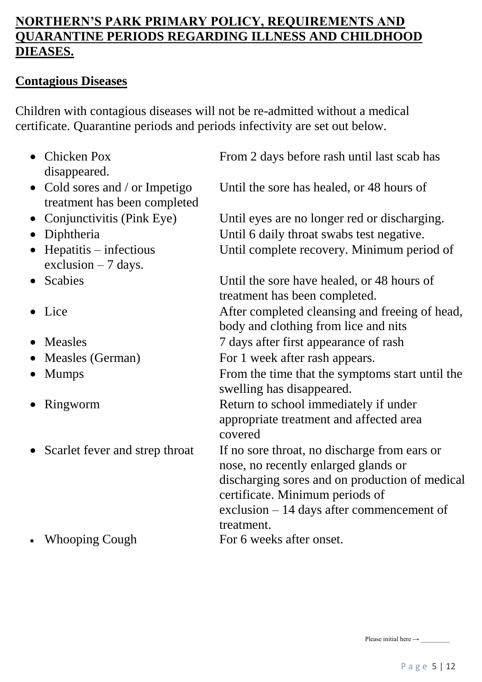# **NORTHERN'S PARK PRIMARY POLICY, REQUIREMENTS AND QUARANTINE PERIODS REGARDING ILLNESS AND CHILDHOOD DIEASES.**

# **Contagious Diseases**

Children with contagious diseases will not be re-admitted without a medical certificate. Quarantine periods and periods infectivity are set out below.

| Chicken Pox<br>$\bullet$<br>disappeared.                                  | From 2 days before rash until last scab has                                                                                                                                                                                           |
|---------------------------------------------------------------------------|---------------------------------------------------------------------------------------------------------------------------------------------------------------------------------------------------------------------------------------|
| Cold sores and / or Impetigo<br>$\bullet$<br>treatment has been completed | Until the sore has healed, or 48 hours of                                                                                                                                                                                             |
| Conjunctivitis (Pink Eye)<br>$\bullet$                                    | Until eyes are no longer red or discharging.                                                                                                                                                                                          |
| Diphtheria<br>$\bullet$                                                   | Until 6 daily throat swabs test negative.                                                                                                                                                                                             |
| $He$ patitis – infectious<br>$\bullet$<br>exclusion $-7$ days.            | Until complete recovery. Minimum period of                                                                                                                                                                                            |
| Scabies<br>$\bullet$                                                      | Until the sore have healed, or 48 hours of<br>treatment has been completed.                                                                                                                                                           |
| • Lice                                                                    | After completed cleansing and freeing of head,<br>body and clothing from lice and nits                                                                                                                                                |
| Measles<br>$\bullet$                                                      | 7 days after first appearance of rash                                                                                                                                                                                                 |
| Measles (German)<br>$\bullet$                                             | For 1 week after rash appears.                                                                                                                                                                                                        |
| <b>Mumps</b>                                                              | From the time that the symptoms start until the<br>swelling has disappeared.                                                                                                                                                          |
| Ringworm                                                                  | Return to school immediately if under<br>appropriate treatment and affected area<br>covered                                                                                                                                           |
| • Scarlet fever and strep throat                                          | If no sore throat, no discharge from ears or<br>nose, no recently enlarged glands or<br>discharging sores and on production of medical<br>certificate. Minimum periods of<br>exclusion $-14$ days after commencement of<br>treatment. |
| <b>Whooping Cough</b>                                                     | For 6 weeks after onset.                                                                                                                                                                                                              |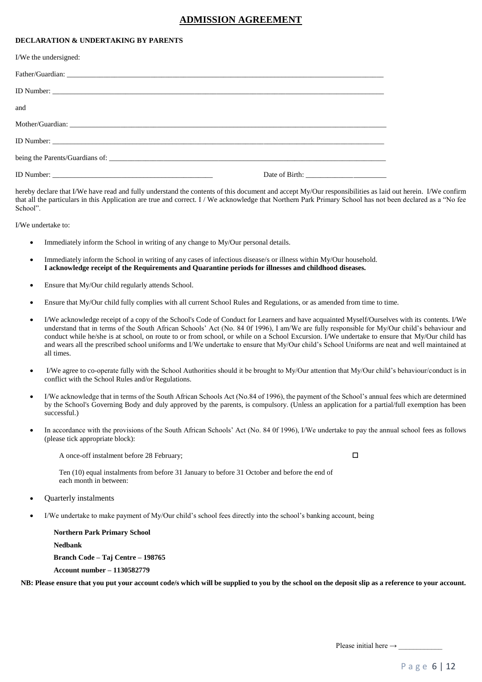#### **ADMISSION AGREEMENT**

#### **DECLARATION & UNDERTAKING BY PARENTS**

| I/We the undersigned: |  |
|-----------------------|--|
|                       |  |
|                       |  |
| and                   |  |
|                       |  |
|                       |  |
|                       |  |
|                       |  |

hereby declare that I/We have read and fully understand the contents of this document and accept My/Our responsibilities as laid out herein. I/We confirm that all the particulars in this Application are true and correct. I / We acknowledge that Northern Park Primary School has not been declared as a "No fee School".

I/We undertake to:

- Immediately inform the School in writing of any change to My/Our personal details.
- Immediately inform the School in writing of any cases of infectious disease/s or illness within My/Our household. **I acknowledge receipt of the Requirements and Quarantine periods for illnesses and childhood diseases.**
- Ensure that My/Our child regularly attends School.
- Ensure that My/Our child fully complies with all current School Rules and Regulations, or as amended from time to time.
- I/We acknowledge receipt of a copy of the School's Code of Conduct for Learners and have acquainted Myself/Ourselves with its contents. I/We understand that in terms of the South African Schools' Act (No. 84 0f 1996), I am/We are fully responsible for My/Our child's behaviour and conduct while he/she is at school, on route to or from school, or while on a School Excursion. I/We undertake to ensure that My/Our child has and wears all the prescribed school uniforms and I/We undertake to ensure that My/Our child's School Uniforms are neat and well maintained at all times.
- I/We agree to co-operate fully with the School Authorities should it be brought to My/Our attention that My/Our child's behaviour/conduct is in conflict with the School Rules and/or Regulations.
- I/We acknowledge that in terms of the South African Schools Act (No.84 of 1996), the payment of the School's annual fees which are determined by the School's Governing Body and duly approved by the parents, is compulsory. (Unless an application for a partial/full exemption has been successful.)
- In accordance with the provisions of the South African Schools' Act (No. 84 0f 1996), I/We undertake to pay the annual school fees as follows (please tick appropriate block):

A once-off instalment before 28 February;  $\Box$ 

Ten (10) equal instalments from before 31 January to before 31 October and before the end of each month in between:

- Quarterly instalments
- I/We undertake to make payment of My/Our child's school fees directly into the school's banking account, being

 **Northern Park Primary School Nedbank Branch Code – Taj Centre – 198765 Account number – 1130582779** 

 **NB: Please ensure that you put your account code/s which will be supplied to you by the school on the deposit slip as a reference to your account.**

Please initial here → \_\_\_\_\_\_\_\_\_\_\_\_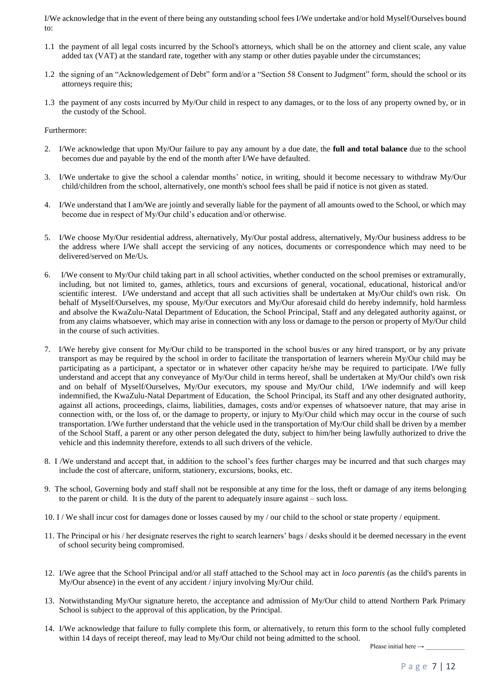I/We acknowledge that in the event of there being any outstanding school fees I/We undertake and/or hold Myself/Ourselves bound to:

- 1.1 the payment of all legal costs incurred by the School's attorneys, which shall be on the attorney and client scale, any value added tax (VAT) at the standard rate, together with any stamp or other duties payable under the circumstances;
- 1.2 the signing of an "Acknowledgement of Debt" form and/or a "Section 58 Consent to Judgment" form, should the school or its attorneys require this;
- 1.3 the payment of any costs incurred by My/Our child in respect to any damages, or to the loss of any property owned by, or in the custody of the School.

Furthermore:

- 2. I/We acknowledge that upon My/Our failure to pay any amount by a due date, the **full and total balance** due to the school becomes due and payable by the end of the month after I/We have defaulted.
- 3. I/We undertake to give the school a calendar months' notice, in writing, should it become necessary to withdraw My/Our child/children from the school, alternatively, one month's school fees shall be paid if notice is not given as stated.
- 4. I/We understand that I am/We are jointly and severally liable for the payment of all amounts owed to the School, or which may become due in respect of My/Our child's education and/or otherwise.
- 5. I/We choose My/Our residential address, alternatively, My/Our postal address, alternatively, My/Our business address to be the address where I/We shall accept the servicing of any notices, documents or correspondence which may need to be delivered/served on Me/Us.
- 6. I/We consent to My/Our child taking part in all school activities, whether conducted on the school premises or extramurally, including, but not limited to, games, athletics, tours and excursions of general, vocational, educational, historical and/or scientific interest. I/We understand and accept that all such activities shall be undertaken at My/Our child's own risk. On behalf of Myself/Ourselves, my spouse, My/Our executors and My/Our aforesaid child do hereby indemnify, hold harmless and absolve the KwaZulu-Natal Department of Education, the School Principal, Staff and any delegated authority against, or from any claims whatsoever, which may arise in connection with any loss or damage to the person or property of My/Our child in the course of such activities.
- 7. I/We hereby give consent for My/Our child to be transported in the school bus/es or any hired transport, or by any private transport as may be required by the school in order to facilitate the transportation of learners wherein My/Our child may be participating as a participant, a spectator or in whatever other capacity he/she may be required to participate. I/We fully understand and accept that any conveyance of My/Our child in terms hereof, shall be undertaken at My/Our child's own risk and on behalf of Myself/Ourselves, My/Our executors, my spouse and My/Our child, I/We indemnify and will keep indemnified, the KwaZulu-Natal Department of Education, the School Principal, its Staff and any other designated authority, against all actions, proceedings, claims, liabilities, damages, costs and/or expenses of whatsoever nature, that may arise in connection with, or the loss of, or the damage to property, or injury to My/Our child which may occur in the course of such transportation. I/We further understand that the vehicle used in the transportation of My/Our child shall be driven by a member of the School Staff, a parent or any other person delegated the duty, subject to him/her being lawfully authorized to drive the vehicle and this indemnity therefore, extends to all such drivers of the vehicle.
- 8. I /We understand and accept that, in addition to the school's fees further charges may be incurred and that such charges may include the cost of aftercare, uniform, stationery, excursions, books, etc.
- 9. The school, Governing body and staff shall not be responsible at any time for the loss, theft or damage of any items belonging to the parent or child. It is the duty of the parent to adequately insure against – such loss.
- 10. I / We shall incur cost for damages done or losses caused by my / our child to the school or state property / equipment.
- 11. The Principal or his / her designate reserves the right to search learners' bags / desks should it be deemed necessary in the event of school security being compromised.
- 12. I/We agree that the School Principal and/or all staff attached to the School may act in *loco parentis* (as the child's parents in My/Our absence) in the event of any accident / injury involving My/Our child.
- 13. Notwithstanding My/Our signature hereto, the acceptance and admission of My/Our child to attend Northern Park Primary School is subject to the approval of this application, by the Principal.
- 14. I/We acknowledge that failure to fully complete this form, or alternatively, to return this form to the school fully completed within 14 days of receipt thereof, may lead to My/Our child not being admitted to the school.

Please initial here → \_\_\_\_\_\_\_\_\_\_\_\_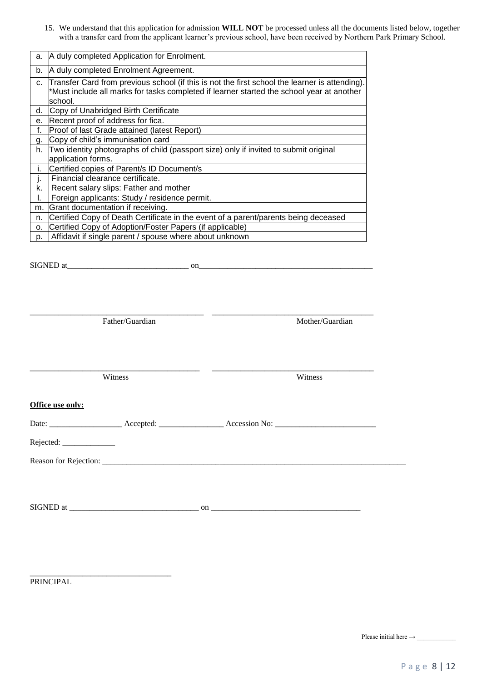15. We understand that this application for admission **WILL NOT** be processed unless all the documents listed below, together with a transfer card from the applicant learner's previous school, have been received by Northern Park Primary School.

| a. | A duly completed Application for Enrolment.                                                                                                                                                            |
|----|--------------------------------------------------------------------------------------------------------------------------------------------------------------------------------------------------------|
| b. | A duly completed Enrolment Agreement.                                                                                                                                                                  |
| c. | Transfer Card from previous school (if this is not the first school the learner is attending).<br>*Must include all marks for tasks completed if learner started the school year at another<br>school. |
| d. | Copy of Unabridged Birth Certificate                                                                                                                                                                   |
| е. | Recent proof of address for fica.                                                                                                                                                                      |
| f. | Proof of last Grade attained (latest Report)                                                                                                                                                           |
| g. | Copy of child's immunisation card                                                                                                                                                                      |
| h. | Two identity photographs of child (passport size) only if invited to submit original                                                                                                                   |
|    | application forms.                                                                                                                                                                                     |
| i. | Certified copies of Parent/s ID Document/s                                                                                                                                                             |
|    | Financial clearance certificate.                                                                                                                                                                       |
| k. | Recent salary slips: Father and mother                                                                                                                                                                 |
| I. | Foreign applicants: Study / residence permit.                                                                                                                                                          |
| m. | Grant documentation if receiving.                                                                                                                                                                      |
| n. | Certified Copy of Death Certificate in the event of a parent/parents being deceased                                                                                                                    |
| о. | Certified Copy of Adoption/Foster Papers (if applicable)                                                                                                                                               |
| p. | Affidavit if single parent / spouse where about unknown                                                                                                                                                |
|    |                                                                                                                                                                                                        |

SIGNED at\_\_\_\_\_\_\_\_\_\_\_\_\_\_\_\_\_\_\_\_\_\_\_\_\_\_\_\_\_\_ on\_\_\_\_\_\_\_\_\_\_\_\_\_\_\_\_\_\_\_\_\_\_\_\_\_\_\_\_\_\_\_\_\_\_\_\_\_\_\_\_\_\_\_ \_\_\_\_\_\_\_\_\_\_\_\_\_\_\_\_\_\_\_\_\_\_\_\_\_\_\_\_\_\_\_\_\_\_\_\_\_\_\_\_\_\_\_ \_\_\_\_\_\_\_\_\_\_\_\_\_\_\_\_\_\_\_\_\_\_\_\_\_\_\_\_\_\_\_\_\_\_\_\_\_\_\_\_ Father/Guardian Mother/Guardian Mother/Guardian \_\_\_\_\_\_\_\_\_\_\_\_\_\_\_\_\_\_\_\_\_\_\_\_\_\_\_\_\_\_\_\_\_\_\_\_\_\_\_\_\_\_ \_\_\_\_\_\_\_\_\_\_\_\_\_\_\_\_\_\_\_\_\_\_\_\_\_\_\_\_\_\_\_\_\_\_\_\_\_\_\_\_ Witness Witness **Office use only:**  Date: \_\_\_\_\_\_\_\_\_\_\_\_\_\_\_\_\_\_ Accepted: \_\_\_\_\_\_\_\_\_\_\_\_\_\_\_\_ Accession No: \_\_\_\_\_\_\_\_\_\_\_\_\_\_\_\_\_\_\_\_\_\_\_\_\_ Rejected: \_\_\_\_\_\_\_\_\_\_\_\_\_ Reason for Rejection: \_\_\_\_\_\_\_\_\_\_\_\_\_\_\_\_\_\_\_\_\_\_\_\_\_\_\_\_\_\_\_\_\_\_\_\_\_\_\_\_\_\_\_\_\_\_\_\_\_\_\_\_\_\_\_\_\_\_\_\_\_\_\_\_\_\_\_\_\_\_\_\_\_\_\_

SIGNED at \_\_\_\_\_\_\_\_\_\_\_\_\_\_\_\_\_\_\_\_\_\_\_\_\_\_\_\_\_\_\_\_ on \_\_\_\_\_\_\_\_\_\_\_\_\_\_\_\_\_\_\_\_\_\_\_\_\_\_\_\_\_\_\_\_\_\_\_\_\_

PRINCIPAL

\_\_\_\_\_\_\_\_\_\_\_\_\_\_\_\_\_\_\_\_\_\_\_\_\_\_\_\_\_\_\_\_\_\_\_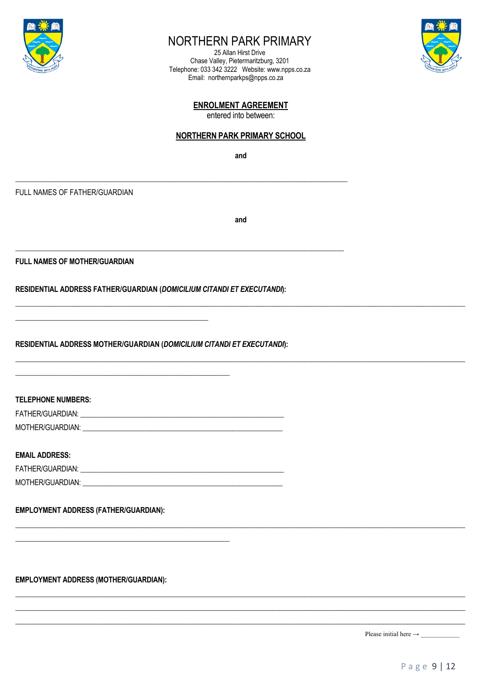

## NORTHERN PARK PRIMARY

25 Allan Hirst Drive Chase Valley, Pietermaritzburg, 3201 Telephone: 033 342 3222 Website: www.npps.co.za Email: northernparkps@npps.co.za



#### **ENROLMENT AGREEMENT**

entered into between:

#### **NORTHERN PARK PRIMARY SCHOOL**

and

FULL NAMES OF FATHER/GUARDIAN

and

**FULL NAMES OF MOTHER/GUARDIAN** 

RESIDENTIAL ADDRESS FATHER/GUARDIAN (DOMICILIUM CITANDI ET EXECUTANDI):

RESIDENTIAL ADDRESS MOTHER/GUARDIAN (DOMICILIUM CITANDI ET EXECUTANDI):

**TELEPHONE NUMBERS:** FATHER/GUARDIAN: MOTHER/GUARDIAN: WARD AND THE RESIDENCE AND THE RESIDENCE AND THE RESIDENCE AND THE RESIDENCE AND THE RESIDENCE AND THE RESIDENCE AND THE RESIDENCE AND THE RESIDENCE AND THE RESIDENCE AND THE RESIDENCE AND THE RESIDENCE AN

**EMAIL ADDRESS:** 

| FATHER/GUARDIAN: |  |
|------------------|--|
| MOTHER/GUARDIAN: |  |

#### **EMPLOYMENT ADDRESS (FATHER/GUARDIAN):**

**EMPLOYMENT ADDRESS (MOTHER/GUARDIAN):**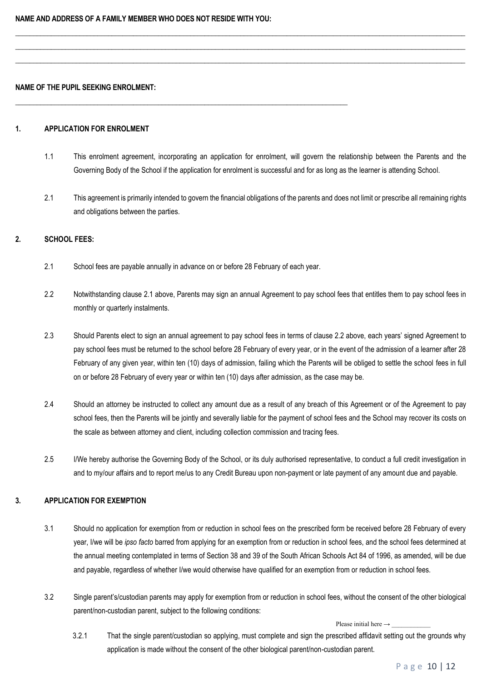#### **NAME OF THE PUPIL SEEKING ENROLMENT:**

#### **1. APPLICATION FOR ENROLMENT**

1.1 This enrolment agreement, incorporating an application for enrolment, will govern the relationship between the Parents and the Governing Body of the School if the application for enrolment is successful and for as long as the learner is attending School.

 $\Box$  $\Box$ \_\_\_\_\_\_\_\_\_\_\_\_\_\_\_\_\_\_\_\_\_\_\_\_\_\_\_\_\_\_\_\_\_\_\_\_\_\_\_\_\_\_\_\_\_\_\_\_\_\_\_\_\_\_\_\_\_\_\_\_\_\_\_\_\_\_\_\_\_\_\_\_\_\_\_\_\_\_\_\_\_\_\_\_\_\_\_\_\_\_\_\_\_\_\_\_\_\_\_\_\_\_\_\_\_\_\_\_\_\_\_\_\_\_\_\_\_\_\_\_\_\_\_\_\_\_

2.1 This agreement is primarily intended to govern the financial obligations of the parents and does not limit or prescribe all remaining rights and obligations between the parties.

#### **2. SCHOOL FEES:**

2.1 School fees are payable annually in advance on or before 28 February of each year.

 $\_$  ,  $\_$  ,  $\_$  ,  $\_$  ,  $\_$  ,  $\_$  ,  $\_$  ,  $\_$  ,  $\_$  ,  $\_$  ,  $\_$  ,  $\_$  ,  $\_$  ,  $\_$  ,  $\_$  ,  $\_$  ,  $\_$  ,  $\_$  ,  $\_$  ,  $\_$  ,  $\_$  ,  $\_$  ,  $\_$  ,  $\_$  ,  $\_$  ,  $\_$  ,  $\_$  ,  $\_$  ,  $\_$  ,  $\_$  ,  $\_$  ,  $\_$  ,  $\_$  ,  $\_$  ,  $\_$  ,  $\_$  ,  $\_$  ,

- 2.2 Notwithstanding clause 2.1 above, Parents may sign an annual Agreement to pay school fees that entitles them to pay school fees in monthly or quarterly instalments.
- 2.3 Should Parents elect to sign an annual agreement to pay school fees in terms of clause 2.2 above, each years' signed Agreement to pay school fees must be returned to the school before 28 February of every year, or in the event of the admission of a learner after 28 February of any given year, within ten (10) days of admission, failing which the Parents will be obliged to settle the school fees in full on or before 28 February of every year or within ten (10) days after admission, as the case may be.
- 2.4 Should an attorney be instructed to collect any amount due as a result of any breach of this Agreement or of the Agreement to pay school fees, then the Parents will be jointly and severally liable for the payment of school fees and the School may recover its costs on the scale as between attorney and client, including collection commission and tracing fees.
- 2.5 I/We hereby authorise the Governing Body of the School, or its duly authorised representative, to conduct a full credit investigation in and to my/our affairs and to report me/us to any Credit Bureau upon non-payment or late payment of any amount due and payable.

#### **3. APPLICATION FOR EXEMPTION**

- 3.1 Should no application for exemption from or reduction in school fees on the prescribed form be received before 28 February of every year, I/we will be *ipso facto* barred from applying for an exemption from or reduction in school fees, and the school fees determined at the annual meeting contemplated in terms of Section 38 and 39 of the South African Schools Act 84 of 1996, as amended, will be due and payable, regardless of whether I/we would otherwise have qualified for an exemption from or reduction in school fees.
- 3.2 Single parent's/custodian parents may apply for exemption from or reduction in school fees, without the consent of the other biological parent/non-custodian parent, subject to the following conditions:

#### Please initial here  $\rightarrow$

3.2.1 That the single parent/custodian so applying, must complete and sign the prescribed affidavit setting out the grounds why application is made without the consent of the other biological parent/non-custodian parent.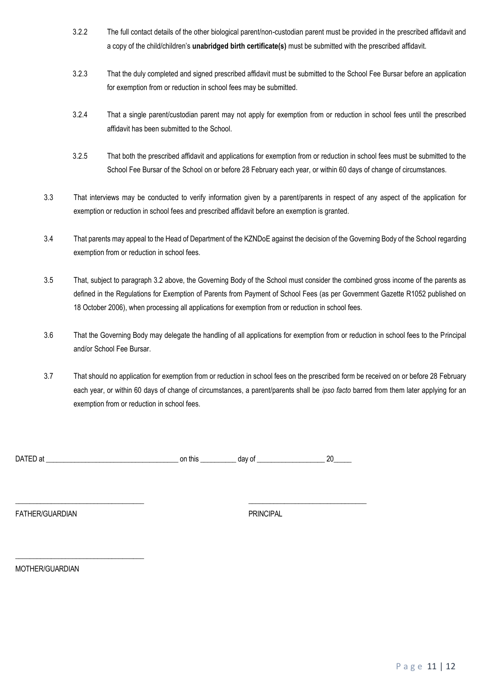- 3.2.2 The full contact details of the other biological parent/non-custodian parent must be provided in the prescribed affidavit and a copy of the child/children's **unabridged birth certificate(s)** must be submitted with the prescribed affidavit.
- 3.2.3 That the duly completed and signed prescribed affidavit must be submitted to the School Fee Bursar before an application for exemption from or reduction in school fees may be submitted.
- 3.2.4 That a single parent/custodian parent may not apply for exemption from or reduction in school fees until the prescribed affidavit has been submitted to the School.
- 3.2.5 That both the prescribed affidavit and applications for exemption from or reduction in school fees must be submitted to the School Fee Bursar of the School on or before 28 February each year, or within 60 days of change of circumstances.
- 3.3 That interviews may be conducted to verify information given by a parent/parents in respect of any aspect of the application for exemption or reduction in school fees and prescribed affidavit before an exemption is granted.
- 3.4 That parents may appeal to the Head of Department of the KZNDoE against the decision of the Governing Body of the School regarding exemption from or reduction in school fees.
- 3.5 That, subject to paragraph 3.2 above, the Governing Body of the School must consider the combined gross income of the parents as defined in the Regulations for Exemption of Parents from Payment of School Fees (as per Government Gazette R1052 published on 18 October 2006), when processing all applications for exemption from or reduction in school fees.
- 3.6 That the Governing Body may delegate the handling of all applications for exemption from or reduction in school fees to the Principal and/or School Fee Bursar.
- 3.7 That should no application for exemption from or reduction in school fees on the prescribed form be received on or before 28 February each year, or within 60 days of change of circumstances, a parent/parents shall be *ipso facto* barred from them later applying for an exemption from or reduction in school fees.

| <b>DATED</b> | this | v  | v |
|--------------|------|----|---|
|              | or.  | uc |   |
|              |      |    |   |

\_\_\_\_\_\_\_\_\_\_\_\_\_\_\_\_\_\_\_\_\_\_\_\_\_\_\_\_\_\_\_\_\_\_\_\_ \_\_\_\_\_\_\_\_\_\_\_\_\_\_\_\_\_\_\_\_\_\_\_\_\_\_\_\_\_\_\_\_\_

FATHER/GUARDIAN PRINCIPAL

MOTHER/GUARDIAN

\_\_\_\_\_\_\_\_\_\_\_\_\_\_\_\_\_\_\_\_\_\_\_\_\_\_\_\_\_\_\_\_\_\_\_\_